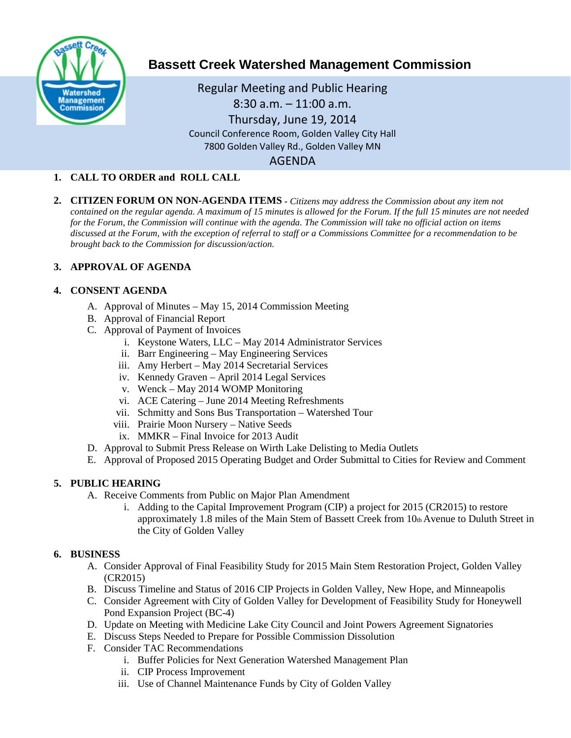

# **Bassett Creek Watershed Management Commission**

Regular Meeting and Public Hearing 8:30 a.m. – 11:00 a.m. Thursday, June 19, 2014 Council Conference Room, Golden Valley City Hall 7800 Golden Valley Rd., Golden Valley MN AGENDA

## **1. CALL TO ORDER and ROLL CALL**

**2. CITIZEN FORUM ON NON-AGENDA ITEMS -** *Citizens may address the Commission about any item not contained on the regular agenda. A maximum of 15 minutes is allowed for the Forum. If the full 15 minutes are not needed for the Forum, the Commission will continue with the agenda. The Commission will take no official action on items discussed at the Forum, with the exception of referral to staff or a Commissions Committee for a recommendation to be brought back to the Commission for discussion/action.*

## **3. APPROVAL OF AGENDA**

#### **4. CONSENT AGENDA**

- A. Approval of Minutes May 15, 2014 Commission Meeting
- B. Approval of Financial Report
- C. Approval of Payment of Invoices
	- i. Keystone Waters, LLC May 2014 Administrator Services
	- ii. Barr Engineering May Engineering Services
	- iii. Amy Herbert May 2014 Secretarial Services
	- iv. Kennedy Graven April 2014 Legal Services
	- v. Wenck May 2014 WOMP Monitoring
	- vi. ACE Catering June 2014 Meeting Refreshments
	- vii. Schmitty and Sons Bus Transportation Watershed Tour
	- viii. Prairie Moon Nursery Native Seeds
	- ix. MMKR Final Invoice for 2013 Audit
- D. Approval to Submit Press Release on Wirth Lake Delisting to Media Outlets
- E. Approval of Proposed 2015 Operating Budget and Order Submittal to Cities for Review and Comment

#### **5. PUBLIC HEARING**

- A. Receive Comments from Public on Major Plan Amendment
	- i. Adding to the Capital Improvement Program (CIP) a project for 2015 (CR2015) to restore approximately 1.8 miles of the Main Stem of Bassett Creek from 10th Avenue to Duluth Street in the City of Golden Valley

## **6. BUSINESS**

- A. Consider Approval of Final Feasibility Study for 2015 Main Stem Restoration Project, Golden Valley (CR2015)
- B. Discuss Timeline and Status of 2016 CIP Projects in Golden Valley, New Hope, and Minneapolis
- C. Consider Agreement with City of Golden Valley for Development of Feasibility Study for Honeywell Pond Expansion Project (BC-4)
- D. Update on Meeting with Medicine Lake City Council and Joint Powers Agreement Signatories
- E. Discuss Steps Needed to Prepare for Possible Commission Dissolution
- F. Consider TAC Recommendations
	- i. Buffer Policies for Next Generation Watershed Management Plan
	- ii. CIP Process Improvement
	- iii. Use of Channel Maintenance Funds by City of Golden Valley